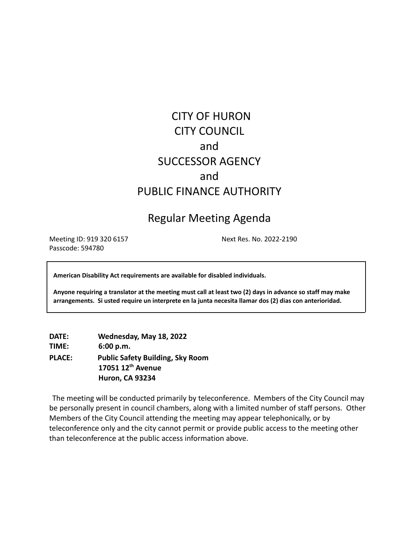# CITY OF HURON CITY COUNCIL and SUCCESSOR AGENCY and PUBLIC FINANCE AUTHORITY

## Regular Meeting Agenda

Meeting ID: 919 320 6157 Next Res. No. 2022-2190 Passcode: 594780

**American Disability Act requirements are available for disabled individuals.**

Anyone requiring a translator at the meeting must call at least two (2) days in advance so staff may make **arrangements. Si usted require un interprete en la junta necesita llamar dos (2) dias con anterioridad.**

**DATE: Wednesday, May 18, 2022 TIME: 6:00 p.m. PLACE: Public Safety Building, Sky Room 17051 12th Avenue Huron, CA 93234**

The meeting will be conducted primarily by teleconference. Members of the City Council may be personally present in council chambers, along with a limited number of staff persons. Other Members of the City Council attending the meeting may appear telephonically, or by teleconference only and the city cannot permit or provide public access to the meeting other than teleconference at the public access information above.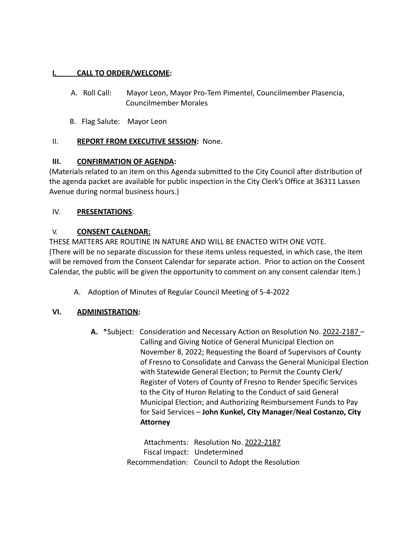#### **I. CALL TO ORDER/WELCOME:**

- A. Roll Call: Mayor Leon, Mayor Pro-Tem Pimentel, Councilmember Plasencia, Councilmember Morales
- B. Flag Salute: Mayor Leon

#### II. **REPORT FROM EXECUTIVE SESSION:** None.

#### **III. CONFIRMATION OF AGENDA:**

(Materials related to an item on this Agenda submitted to the City Council after distribution of the agenda packet are available for public inspection in the City Clerk's Office at 36311 Lassen Avenue during normal business hours.)

#### IV. **PRESENTATIONS**:

#### V. **CONSENT CALENDAR:**

THESE MATTERS ARE ROUTINE IN NATURE AND WILL BE ENACTED WITH ONE VOTE. (There will be no separate discussion for these items unless requested, in which case, the item will be removed from the Consent Calendar for separate action. Prior to action on the Consent Calendar, the public will be given the opportunity to comment on any consent calendar item.)

A. Adoption of Minutes of Regular Council Meeting of 5-4-2022

#### **VI. ADMINISTRATION:**

**A.** \*Subject: Consideration and Necessary Action on Resolution No. 2022-2187 – Calling and Giving Notice of General Municipal Election on November 8, 2022; Requesting the Board of Supervisors of County of Fresno to Consolidate and Canvass the General Municipal Election with Statewide General Election; to Permit the County Clerk/ Register of Voters of County of Fresno to Render Specific Services to the City of Huron Relating to the Conduct of said General Municipal Election; and Authorizing Reimbursement Funds to Pay for Said Services – **John Kunkel, City Manager**/**Neal Costanzo, City Attorney**

> Attachments: Resolution No. 2022-2187 Fiscal Impact: Undetermined Recommendation: Council to Adopt the Resolution